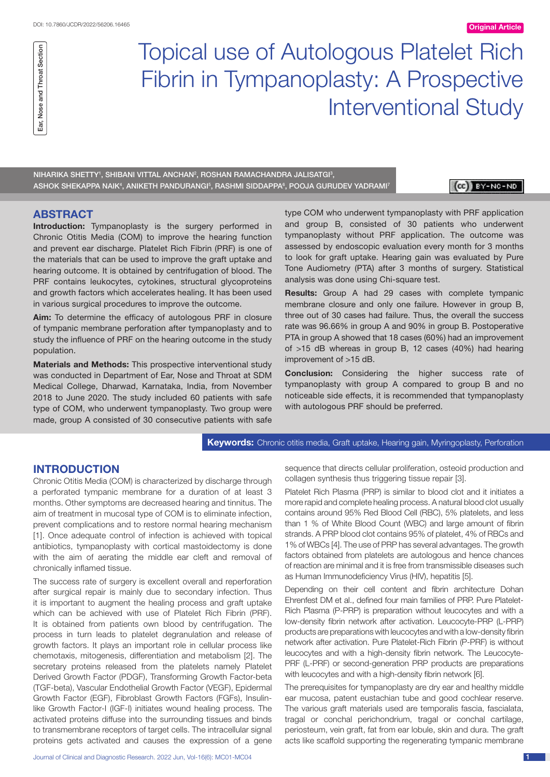

# Topical use of Autologous Platelet Rich Fibrin in Tympanoplasty: A Prospective Interventional Study

NIHARIKA SHETTY', SHIBANI VITTAL ANCHAN<del>'</del>, ROSHAN RAMACHANDRA JALISATGI<del>'</del>, ASHOK SHEKAPPA NAIK<sup>4</sup>, ANIKETH PANDURANGI<sup>5</sup>, RASHMI SIDDAPPA<sup>6</sup>, POOJA GURUDEV YADRAMI<sup>7</sup>

 $(CE)$   $BY-NC-ND$ 

### **ABSTRACT**

**Introduction:** Tympanoplasty is the surgery performed in Chronic Otitis Media (COM) to improve the hearing function and prevent ear discharge. Platelet Rich Fibrin (PRF) is one of the materials that can be used to improve the graft uptake and hearing outcome. It is obtained by centrifugation of blood. The PRF contains leukocytes, cytokines, structural glycoproteins and growth factors which accelerates healing. It has been used in various surgical procedures to improve the outcome.

**Aim:** To determine the efficacy of autologous PRF in closure of tympanic membrane perforation after tympanoplasty and to study the influence of PRF on the hearing outcome in the study population.

**Materials and Methods:** This prospective interventional study was conducted in Department of Ear, Nose and Throat at SDM Medical College, Dharwad, Karnataka, India, from November 2018 to June 2020. The study included 60 patients with safe type of COM, who underwent tympanoplasty. Two group were made, group A consisted of 30 consecutive patients with safe type COM who underwent tympanoplasty with PRF application and group B, consisted of 30 patients who underwent tympanoplasty without PRF application. The outcome was assessed by endoscopic evaluation every month for 3 months to look for graft uptake. Hearing gain was evaluated by Pure Tone Audiometry (PTA) after 3 months of surgery. Statistical analysis was done using Chi-square test.

**Results:** Group A had 29 cases with complete tympanic membrane closure and only one failure. However in group B, three out of 30 cases had failure. Thus, the overall the success rate was 96.66% in group A and 90% in group B. Postoperative PTA in group A showed that 18 cases (60%) had an improvement of >15 dB whereas in group B, 12 cases (40%) had hearing improvement of >15 dB.

**Conclusion:** Considering the higher success rate of tympanoplasty with group A compared to group B and no noticeable side effects, it is recommended that tympanoplasty with autologous PRF should be preferred.

**Keywords:** Chronic otitis media, Graft uptake, Hearing gain, Myringoplasty, Perforation

# **Introduction**

Chronic Otitis Media (COM) is characterized by discharge through a perforated tympanic membrane for a duration of at least 3 months. Other symptoms are decreased hearing and tinnitus. The aim of treatment in mucosal type of COM is to eliminate infection, prevent complications and to restore normal hearing mechanism [1]. Once adequate control of infection is achieved with topical antibiotics, tympanoplasty with cortical mastoidectomy is done with the aim of aerating the middle ear cleft and removal of chronically inflamed tissue.

The success rate of surgery is excellent overall and reperforation after surgical repair is mainly due to secondary infection. Thus it is important to augment the healing process and graft uptake which can be achieved with use of Platelet Rich Fibrin (PRF). It is obtained from patients own blood by centrifugation. The process in turn leads to platelet degranulation and release of growth factors. It plays an important role in cellular process like chemotaxis, mitogenesis, differentiation and metabolism [2]. The secretary proteins released from the platelets namely Platelet Derived Growth Factor (PDGF), Transforming Growth Factor-beta (TGF-beta), Vascular Endothelial Growth Factor (VEGF), Epidermal Growth Factor (EGF), Fibroblast Growth Factors (FGFs), Insulinlike Growth Factor-I (IGF-I) initiates wound healing process. The activated proteins diffuse into the surrounding tissues and binds to transmembrane receptors of target cells. The intracellular signal proteins gets activated and causes the expression of a gene sequence that directs cellular proliferation, osteoid production and collagen synthesis thus triggering tissue repair [3].

Platelet Rich Plasma (PRP) is similar to blood clot and it initiates a more rapid and complete healing process. A natural blood clot usually contains around 95% Red Blood Cell (RBC), 5% platelets, and less than 1 % of White Blood Count (WBC) and large amount of fibrin strands. A PRP blood clot contains 95% of platelet, 4% of RBCs and 1% of WBCs [4]. The use of PRP has several advantages. The growth factors obtained from platelets are autologous and hence chances of reaction are minimal and it is free from transmissible diseases such as Human Immunodeficiency Virus (HIV), hepatitis [5].

Depending on their cell content and fibrin architecture Dohan Ehrenfest DM et al., defined four main families of PRP. Pure Platelet-Rich Plasma (P-PRP) is preparation without leucocytes and with a low-density fibrin network after activation. Leucocyte-PRP (L-PRP) products are preparations with leucocytes and with a low-density fibrin network after activation. Pure Platelet-Rich Fibrin (P-PRF) is without leucocytes and with a high-density fibrin network. The Leucocyte-PRF (L-PRF) or second-generation PRP products are preparations with leucocytes and with a high-density fibrin network [6].

The prerequisites for tympanoplasty are dry ear and healthy middle ear mucosa, patent eustachian tube and good cochlear reserve. The various graft materials used are temporalis fascia, fascialata, tragal or conchal perichondrium, tragal or conchal cartilage, periosteum, vein graft, fat from ear lobule, skin and dura. The graft acts like scaffold supporting the regenerating tympanic membrane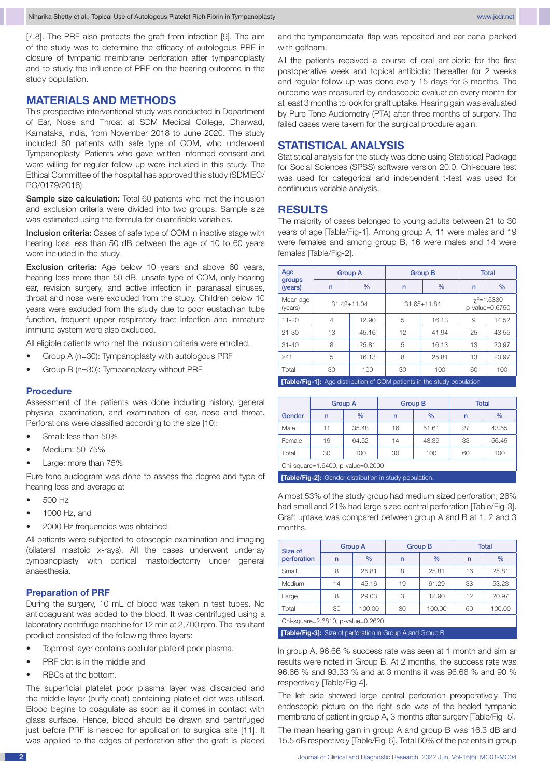[7,8]. The PRF also protects the graft from infection [9]. The aim of the study was to determine the efficacy of autologous PRF in closure of tympanic membrane perforation after tympanoplasty and to study the influence of PRF on the hearing outcome in the study population.

#### **Materials and Methods**

This prospective interventional study was conducted in Department of Ear, Nose and Throat at SDM Medical College, Dharwad, Karnataka, India, from November 2018 to June 2020. The study included 60 patients with safe type of COM, who underwent Tympanoplasty. Patients who gave written informed consent and were willing for regular follow-up were included in this study. The Ethical Committee of the hospital has approved this study (SDMIEC/ PG/0179/2018).

Sample size calculation: Total 60 patients who met the inclusion and exclusion criteria were divided into two groups. Sample size was estimated using the formula for quantifiable variables.

Inclusion criteria: Cases of safe type of COM in inactive stage with hearing loss less than 50 dB between the age of 10 to 60 years were included in the study.

Exclusion criteria: Age below 10 years and above 60 years, hearing loss more than 50 dB, unsafe type of COM, only hearing ear, revision surgery, and active infection in paranasal sinuses, throat and nose were excluded from the study. Children below 10 years were excluded from the study due to poor eustachian tube function, frequent upper respiratory tract infection and immature immune system were also excluded.

All eligible patients who met the inclusion criteria were enrolled.

- Group A (n=30): Tympanoplasty with autologous PRF
- Group B (n=30): Tympanoplasty without PRF

#### **Procedure**

Assessment of the patients was done including history, general physical examination, and examination of ear, nose and throat. Perforations were classified according to the size [10]:

- Small: less than 50%
- Medium: 50-75%
- Large: more than 75%

Pure tone audiogram was done to assess the degree and type of hearing loss and average at

- 500 Hz
- • 1000 Hz, and
- 2000 Hz frequencies was obtained.

All patients were subjected to otoscopic examination and imaging (bilateral mastoid x-rays). All the cases underwent underlay tympanoplasty with cortical mastoidectomy under general anaesthesia.

#### **Preparation of PRF**

During the surgery, 10 mL of blood was taken in test tubes. No anticoagulant was added to the blood. It was centrifuged using a laboratory centrifuge machine for 12 min at 2,700 rpm. The resultant product consisted of the following three layers:

- Topmost layer contains acellular platelet poor plasma,
- PRF clot is in the middle and
- RBCs at the bottom.

The superficial platelet poor plasma layer was discarded and the middle layer (buffy coat) containing platelet clot was utilised. Blood begins to coagulate as soon as it comes in contact with glass surface. Hence, blood should be drawn and centrifuged just before PRF is needed for application to surgical site [11]. It was applied to the edges of perforation after the graft is placed and the tympanomeatal flap was reposited and ear canal packed with gelfoam.

All the patients received a course of oral antibiotic for the first postoperative week and topical antibiotic thereafter for 2 weeks and regular follow-up was done every 15 days for 3 months. The outcome was measured by endoscopic evaluation every month for at least 3 months to look for graft uptake. Hearing gain was evaluated by Pure Tone Audiometry (PTA) after three months of surgery. The failed cases were takern for the surgical procdure again.

## **Statistical Analysis**

Statistical analysis for the study was done using Statistical Package for Social Sciences (SPSS) software version 20.0. Chi-square test was used for categorical and independent t-test was used for continuous variable analysis.

#### **Results**

The majority of cases belonged to young adults between 21 to 30 years of age [Table/Fig-1]. Among group A, 11 were males and 19 were females and among group B, 16 were males and 14 were females [Table/Fig-2].

| Age                 | <b>Group A</b>  |       | <b>Group B</b>    |               | <b>Total</b>                       |       |
|---------------------|-----------------|-------|-------------------|---------------|------------------------------------|-------|
| groups<br>(years)   | $\mathsf{n}$    | $\%$  | $\mathsf{n}$      | $\frac{9}{6}$ | $\mathsf{n}$                       | $\%$  |
| Mean age<br>(years) | $31.42 + 11.04$ |       | $31.65 \pm 11.84$ |               | $\chi^2$ =1.5330<br>p-value=0.6750 |       |
| $11 - 20$           | $\overline{4}$  | 12.90 | 5                 | 16.13         | 9                                  | 14.52 |
| $21 - 30$           | 13              | 45.16 | 12                | 41.94         | 25                                 | 43.55 |
| $31 - 40$           | 8               | 25.81 | 5                 | 16.13         | 13                                 | 20.97 |
| $\geq 41$           | 5               | 16.13 | 8                 | 25.81         | 13                                 | 20.97 |
| Total               | 30              | 100   | 30                | 100           | 60                                 | 100   |
|                     |                 |       |                   |               |                                    |       |

**[Table/Fig-1]:** Age distribution of COM patients in the study population

|                                   | <b>Group A</b> |       |              | <b>Group B</b> | <b>Total</b> |       |  |
|-----------------------------------|----------------|-------|--------------|----------------|--------------|-------|--|
| Gender                            | $\mathsf{r}$   | $\%$  | $\mathsf{n}$ | $\%$           | $\mathsf{r}$ | $\%$  |  |
| Male                              | 11             | 35.48 | 16           | 51.61          | 27           | 43.55 |  |
| Female                            | 19             | 64.52 | 14           | 48.39          | 33           | 56.45 |  |
| Total                             | 30             | 100   | 30           | 100            | 60           | 100   |  |
| Chi-square=1.6400, p-value=0.2000 |                |       |              |                |              |       |  |

**[Table/Fig-2]:** Gender distribution in study population.

Almost 53% of the study group had medium sized perforation, 26% had small and 21% had large sized central perforation [Table/Fig-3]. Graft uptake was compared between group A and B at 1, 2 and 3 months.

| Size of<br>perforation            | <b>Group A</b> |               | <b>Group B</b> |               | <b>Total</b> |               |
|-----------------------------------|----------------|---------------|----------------|---------------|--------------|---------------|
|                                   | $\mathsf{r}$   | $\frac{0}{0}$ | $\mathsf{r}$   | $\frac{0}{0}$ | $\mathsf{r}$ | $\frac{0}{0}$ |
| Small                             | 8              | 25.81         | 8              | 25.81         | 16           | 25.81         |
| Medium                            | 14             | 45.16         | 19             | 61.29         | 33           | 53.23         |
| Large                             | 8              | 29.03         | 3              | 12.90         | 12           | 20.97         |
| Total                             | 30             | 100.00        | 30             | 100.00        | 60           | 100.00        |
| Chi-square=2.6810, p-value=0.2620 |                |               |                |               |              |               |

**[Table/Fig-3]:** Size of perforation in Group A and Group B.

In group A, 96.66 % success rate was seen at 1 month and similar results were noted in Group B. At 2 months, the success rate was 96.66 % and 93.33 % and at 3 months it was 96.66 % and 90 % respectively [Table/Fig-4].

The left side showed large central perforation preoperatively. The endoscopic picture on the right side was of the healed tympanic membrane of patient in group A, 3 months after surgery [Table/Fig- 5].

The mean hearing gain in group A and group B was 16.3 dB and 15.5 dB respectively [Table/Fig-6]. Total 60% of the patients in group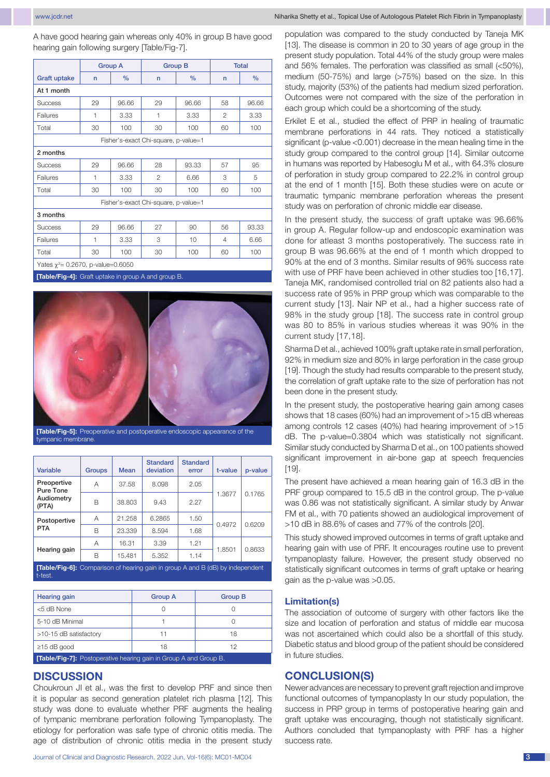www.jcdr.net Niharika Shetty et al., Topical Use of Autologous Platelet Rich Fibrin in Tympanoplasty

A have good hearing gain whereas only 40% in group B have good hearing gain following surgery [Table/Fig-7].

|                                                     |              | <b>Group A</b><br><b>Group B</b> |                                      | <b>Total</b>  |                |       |  |
|-----------------------------------------------------|--------------|----------------------------------|--------------------------------------|---------------|----------------|-------|--|
| <b>Graft uptake</b>                                 | $\mathsf{r}$ | $\frac{0}{0}$                    | $\mathsf{r}$                         | $\frac{0}{0}$ | n              | $\%$  |  |
| At 1 month                                          |              |                                  |                                      |               |                |       |  |
| <b>Success</b>                                      | 29           | 96.66                            | 29                                   | 96.66         | 58             | 96.66 |  |
| Failures                                            | 1            | 3.33                             | 1                                    | 3.33          | $\mathfrak{p}$ | 3.33  |  |
| Total                                               | 30           | 100                              | 30                                   | 100           | 60             | 100   |  |
|                                                     |              |                                  | Fisher's-exact Chi-square, p-value=1 |               |                |       |  |
| 2 months                                            |              |                                  |                                      |               |                |       |  |
| <b>Success</b>                                      | 29           | 96.66                            | 28                                   | 93.33         | 57             | 95    |  |
| Failures                                            | 1            | 3.33                             | $\mathcal{P}$                        | 6.66          | 3              | 5     |  |
| Total                                               | 30           | 100                              | 30                                   | 100           | 60             | 100   |  |
| Fisher's-exact Chi-square, p-value=1                |              |                                  |                                      |               |                |       |  |
| 3 months                                            |              |                                  |                                      |               |                |       |  |
| <b>Success</b>                                      | 29           | 96.66                            | 27                                   | 90            | 56             | 93.33 |  |
| Failures                                            | 1            | 3.33                             | 3                                    | 10            | 4              | 6.66  |  |
| Total                                               | 30           | 100                              | 30                                   | 100           | 60             | 100   |  |
| Yates $\chi^2$ = 0.2670, p-value=0.6050             |              |                                  |                                      |               |                |       |  |
| [Table/Fig-4]: Graft uptake in group A and group B. |              |                                  |                                      |               |                |       |  |



**[Table/Fig-5]:** Preoperative and postoperative endoscopic appearance of the tympanic membrane.

| <b>Variable</b>                                 | <b>Groups</b> | <b>Mean</b>                   | <b>Standard</b><br>deviation | <b>Standard</b><br>error | t-value | p-value |
|-------------------------------------------------|---------------|-------------------------------|------------------------------|--------------------------|---------|---------|
| Preopertive<br>Pure Tone<br>Audiometry<br>(PTA) | Α             | 37.58                         | 8.098                        | 2.05                     |         | 0.1765  |
|                                                 | R             | 38.803                        | 9.43                         | 2.27                     | 1.3677  |         |
| Postopertive                                    | Α             | 21.258                        | 6.2865                       | 1.50                     | 0.4972  | 0.6209  |
| <b>PTA</b>                                      | B             | 23.339                        | 8.594                        | 1.68                     |         |         |
| Hearing gain                                    | Α             | 16.31                         | 3.39                         | 1.21                     | 1.8501  | 0.8633  |
|                                                 | B             | 15.481                        | 5.352                        | 1.14                     |         |         |
| ___<br>$\overline{\phantom{a}}$<br>--           | $\sim$        | <b>Contact Contact Street</b> | <b>Service Controllers</b>   |                          |         |         |

**[Table/Fig-6]:** Comparison of hearing gain in group A and B (dB) by independent t-test.

| <b>Hearing gain</b>                                                    | <b>Group A</b> | <b>Group B</b> |  |  |  |  |
|------------------------------------------------------------------------|----------------|----------------|--|--|--|--|
| <5 dB None                                                             |                |                |  |  |  |  |
| 5-10 dB Minimal                                                        |                |                |  |  |  |  |
| >10-15 dB satisfactory                                                 |                | 18             |  |  |  |  |
| $\geq$ 15 dB good                                                      | 18             | 12             |  |  |  |  |
| <b>Table/Fin-71:</b> Poetoperative bearing gain in Group A and Group R |                |                |  |  |  |  |

#### **[Table/Fig-7]:** Postoperative hearing gain in Group A and Group B.

### **Discussion**

Choukroun JI et al., was the first to develop PRF and since then it is popular as second generation platelet rich plasma [12]. This study was done to evaluate whether PRF augments the healing of tympanic membrane perforation following Tympanoplasty. The etiology for perforation was safe type of chronic otitis media. The age of distribution of chronic otitis media in the present study population was compared to the study conducted by Taneja MK [13]. The disease is common in 20 to 30 years of age group in the present study population. Total 44% of the study group were males and 56% females. The perforation was classified as small (<50%), medium (50-75%) and large (>75%) based on the size. In this study, majority (53%) of the patients had medium sized perforation. Outcomes were not compared with the size of the perforation in each group which could be a shortcoming of the study.

Erkilet E et al., studied the effect of PRP in healing of traumatic membrane perforations in 44 rats. They noticed a statistically significant (p-value <0.001) decrease in the mean healing time in the study group compared to the control group [14]. Similar outcome in humans was reported by Habesoglu M et al., with 64.3% closure of perforation in study group compared to 22.2% in control group at the end of 1 month [15]. Both these studies were on acute or traumatic tympanic membrane perforation whereas the present study was on perforation of chronic middle ear disease.

In the present study, the success of graft uptake was 96.66% in group A. Regular follow-up and endoscopic examination was done for atleast 3 months postoperatively. The success rate in group B was 96.66% at the end of 1 month which dropped to 90% at the end of 3 months. Similar results of 96% success rate with use of PRF have been achieved in other studies too [16,17]. Taneja MK, randomised controlled trial on 82 patients also had a success rate of 95% in PRP group which was comparable to the current study [13]. Nair NP et al., had a higher success rate of 98% in the study group [18]. The success rate in control group was 80 to 85% in various studies whereas it was 90% in the current study [17,18].

Sharma D et al., achieved 100% graft uptake rate in small perforation, 92% in medium size and 80% in large perforation in the case group [19]. Though the study had results comparable to the present study, the correlation of graft uptake rate to the size of perforation has not been done in the present study.

In the present study, the postoperative hearing gain among cases shows that 18 cases (60%) had an improvement of >15 dB whereas among controls 12 cases (40%) had hearing improvement of >15 dB. The p-value=0.3804 which was statistically not significant. Similar study conducted by Sharma D et al., on 100 patients showed significant improvement in air-bone gap at speech frequencies [19].

The present have achieved a mean hearing gain of 16.3 dB in the PRF group compared to 15.5 dB in the control group. The p-value was 0.86 was not statistically significant. A similar study by Anwar FM et al., with 70 patients showed an audiological improvement of >10 dB in 88.6% of cases and 77% of the controls [20].

This study showed improved outcomes in terms of graft uptake and hearing gain with use of PRF. It encourages routine use to prevent tympanoplasty failure. However, the present study observed no statistically significant outcomes in terms of graft uptake or hearing gain as the p-value was >0.05.

#### **Limitation(s)**

The association of outcome of surgery with other factors like the size and location of perforation and status of middle ear mucosa was not ascertained which could also be a shortfall of this study. Diabetic status and blood group of the patient should be considered in future studies.

# **Conclusion(S)**

Newer advances are necessary to prevent graft rejection and improve functional outcomes of tympanoplasty In our study population, the success in PRP group in terms of postoperative hearing gain and graft uptake was encouraging, though not statistically significant. Authors concluded that tympanoplasty with PRF has a higher success rate.